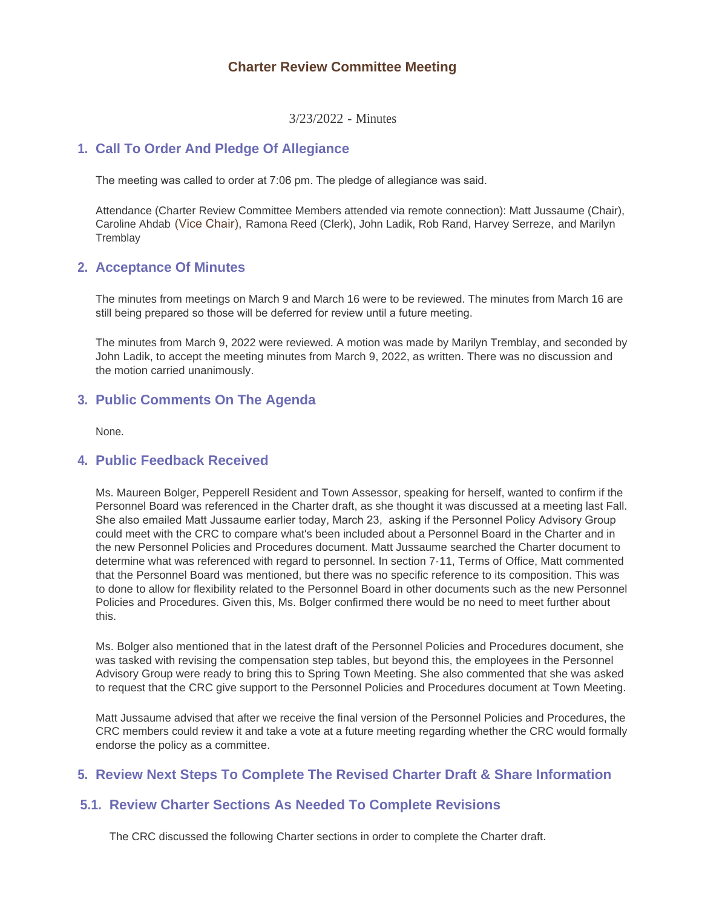# **Charter Review Committee Meeting**

3/23/2022 - Minutes

# **Call To Order And Pledge Of Allegiance 1.**

The meeting was called to order at 7:06 pm. The pledge of allegiance was said.

Attendance (Charter Review Committee Members attended via remote connection): Matt Jussaume (Chair), Caroline Ahdab (Vice Chair), Ramona Reed (Clerk), John Ladik, Rob Rand, Harvey Serreze, and Marilyn **Tremblay** 

# **Acceptance Of Minutes 2.**

The minutes from meetings on March 9 and March 16 were to be reviewed. The minutes from March 16 are still being prepared so those will be deferred for review until a future meeting.

The minutes from March 9, 2022 were reviewed. A motion was made by Marilyn Tremblay, and seconded by John Ladik, to accept the meeting minutes from March 9, 2022, as written. There was no discussion and the motion carried unanimously.

# **Public Comments On The Agenda 3.**

None.

### **Public Feedback Received 4.**

Ms. Maureen Bolger, Pepperell Resident and Town Assessor, speaking for herself, wanted to confirm if the Personnel Board was referenced in the Charter draft, as she thought it was discussed at a meeting last Fall. She also emailed Matt Jussaume earlier today, March 23, asking if the Personnel Policy Advisory Group could meet with the CRC to compare what's been included about a Personnel Board in the Charter and in the new Personnel Policies and Procedures document. Matt Jussaume searched the Charter document to determine what was referenced with regard to personnel. In section 7-11, Terms of Office, Matt commented that the Personnel Board was mentioned, but there was no specific reference to its composition. This was to done to allow for flexibility related to the Personnel Board in other documents such as the new Personnel Policies and Procedures. Given this, Ms. Bolger confirmed there would be no need to meet further about this.

Ms. Bolger also mentioned that in the latest draft of the Personnel Policies and Procedures document, she was tasked with revising the compensation step tables, but beyond this, the employees in the Personnel Advisory Group were ready to bring this to Spring Town Meeting. She also commented that she was asked to request that the CRC give support to the Personnel Policies and Procedures document at Town Meeting.

Matt Jussaume advised that after we receive the final version of the Personnel Policies and Procedures, the CRC members could review it and take a vote at a future meeting regarding whether the CRC would formally endorse the policy as a committee.

# **Review Next Steps To Complete The Revised Charter Draft & Share Information 5.**

# **Review Charter Sections As Needed To Complete Revisions 5.1.**

The CRC discussed the following Charter sections in order to complete the Charter draft.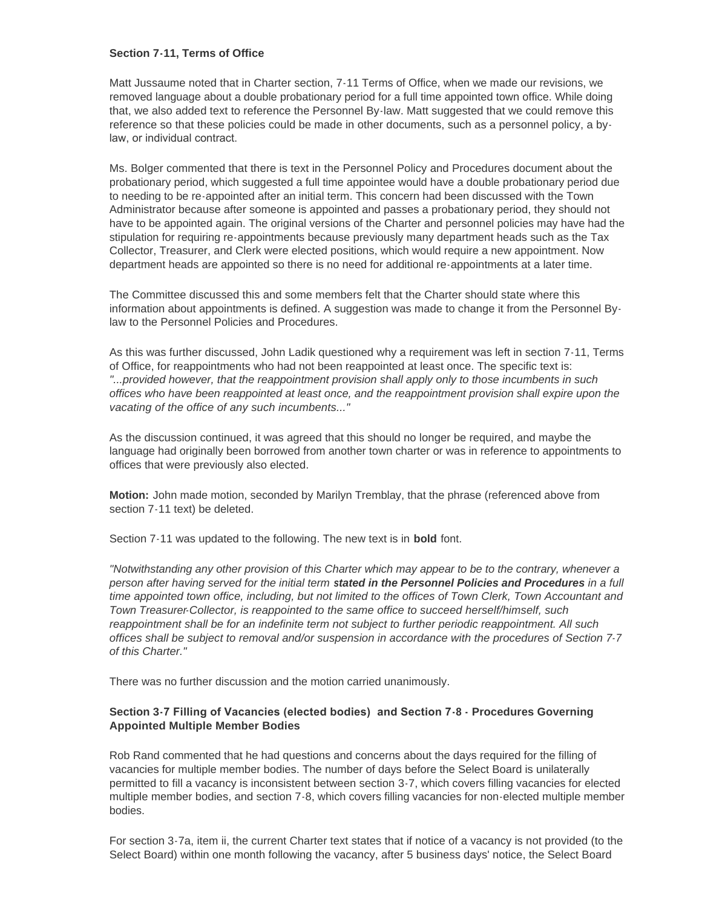#### **Section 7-11, Terms of Office**

Matt Jussaume noted that in Charter section, 7-11 Terms of Office, when we made our revisions, we removed language about a double probationary period for a full time appointed town office. While doing that, we also added text to reference the Personnel By-law. Matt suggested that we could remove this reference so that these policies could be made in other documents, such as a personnel policy, a bylaw, or individual contract.

Ms. Bolger commented that there is text in the Personnel Policy and Procedures document about the probationary period, which suggested a full time appointee would have a double probationary period due to needing to be re-appointed after an initial term. This concern had been discussed with the Town Administrator because after someone is appointed and passes a probationary period, they should not have to be appointed again. The original versions of the Charter and personnel policies may have had the stipulation for requiring re-appointments because previously many department heads such as the Tax Collector, Treasurer, and Clerk were elected positions, which would require a new appointment. Now department heads are appointed so there is no need for additional re-appointments at a later time.

The Committee discussed this and some members felt that the Charter should state where this information about appointments is defined. A suggestion was made to change it from the Personnel Bylaw to the Personnel Policies and Procedures.

As this was further discussed, John Ladik questioned why a requirement was left in section 7-11, Terms of Office, for reappointments who had not been reappointed at least once. The specific text is: *"...provided however, that the reappointment provision shall apply only to those incumbents in such offices who have been reappointed at least once, and the reappointment provision shall expire upon the vacating of the office of any such incumbents..."*

As the discussion continued, it was agreed that this should no longer be required, and maybe the language had originally been borrowed from another town charter or was in reference to appointments to offices that were previously also elected.

**Motion:** John made motion, seconded by Marilyn Tremblay, that the phrase (referenced above from section 7-11 text) be deleted.

Section 7-11 was updated to the following. The new text is in **bold** font.

*"Notwithstanding any other provision of this Charter which may appear to be to the contrary, whenever a person after having served for the initial term stated in the Personnel Policies and Procedures in a full time appointed town office, including, but not limited to the offices of Town Clerk, Town Accountant and Town Treasurer-Collector, is reappointed to the same office to succeed herself/himself, such reappointment shall be for an indefinite term not subject to further periodic reappointment. All such offices shall be subject to removal and/or suspension in accordance with the procedures of Section 7-7 of this Charter."*

There was no further discussion and the motion carried unanimously.

### **Section 3-7 Filling of Vacancies (elected bodies) and Section 7-8 - Procedures Governing Appointed Multiple Member Bodies**

Rob Rand commented that he had questions and concerns about the days required for the filling of vacancies for multiple member bodies. The number of days before the Select Board is unilaterally permitted to fill a vacancy is inconsistent between section 3-7, which covers filling vacancies for elected multiple member bodies, and section 7-8, which covers filling vacancies for non-elected multiple member bodies.

For section 3-7a, item ii, the current Charter text states that if notice of a vacancy is not provided (to the Select Board) within one month following the vacancy, after 5 business days' notice, the Select Board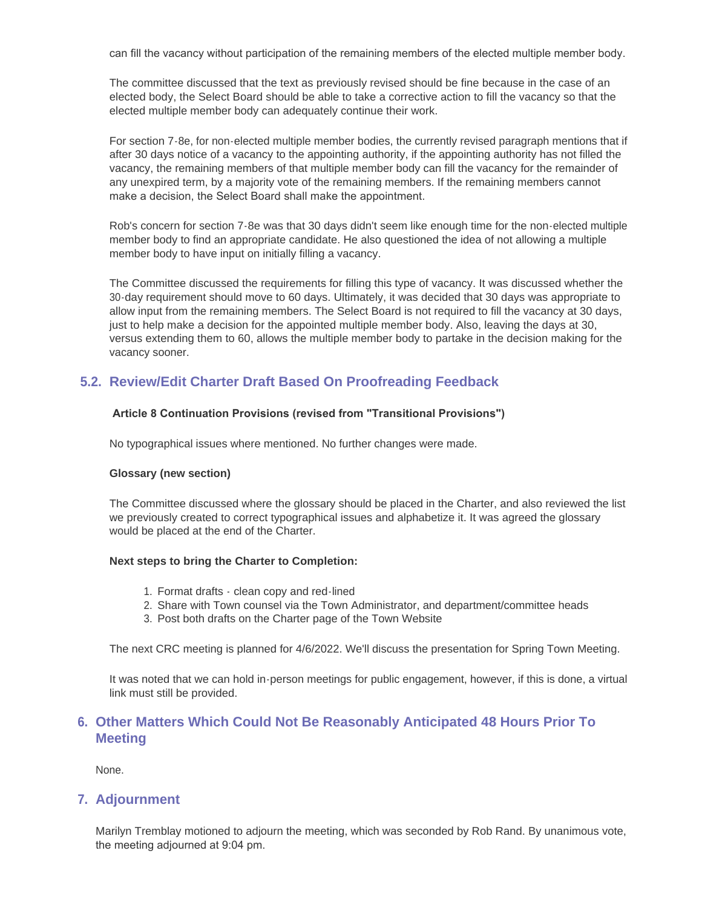can fill the vacancy without participation of the remaining members of the elected multiple member body.

The committee discussed that the text as previously revised should be fine because in the case of an elected body, the Select Board should be able to take a corrective action to fill the vacancy so that the elected multiple member body can adequately continue their work.

For section 7-8e, for non-elected multiple member bodies, the currently revised paragraph mentions that if after 30 days notice of a vacancy to the appointing authority, if the appointing authority has not filled the vacancy, the remaining members of that multiple member body can fill the vacancy for the remainder of any unexpired term, by a majority vote of the remaining members. If the remaining members cannot make a decision, the Select Board shall make the appointment.

Rob's concern for section 7-8e was that 30 days didn't seem like enough time for the non-elected multiple member body to find an appropriate candidate. He also questioned the idea of not allowing a multiple member body to have input on initially filling a vacancy.

The Committee discussed the requirements for filling this type of vacancy. It was discussed whether the 30-day requirement should move to 60 days. Ultimately, it was decided that 30 days was appropriate to allow input from the remaining members. The Select Board is not required to fill the vacancy at 30 days, just to help make a decision for the appointed multiple member body. Also, leaving the days at 30, versus extending them to 60, allows the multiple member body to partake in the decision making for the vacancy sooner.

# **Review/Edit Charter Draft Based On Proofreading Feedback 5.2.**

### **Article 8 Continuation Provisions (revised from "Transitional Provisions")**

No typographical issues where mentioned. No further changes were made.

#### **Glossary (new section)**

The Committee discussed where the glossary should be placed in the Charter, and also reviewed the list we previously created to correct typographical issues and alphabetize it. It was agreed the glossary would be placed at the end of the Charter.

#### **Next steps to bring the Charter to Completion:**

- 1. Format drafts clean copy and red-lined
- 2. Share with Town counsel via the Town Administrator, and department/committee heads
- 3. Post both drafts on the Charter page of the Town Website

The next CRC meeting is planned for 4/6/2022. We'll discuss the presentation for Spring Town Meeting.

It was noted that we can hold in-person meetings for public engagement, however, if this is done, a virtual link must still be provided.

# **Other Matters Which Could Not Be Reasonably Anticipated 48 Hours Prior To 6. Meeting**

None.

### **Adjournment 7.**

Marilyn Tremblay motioned to adjourn the meeting, which was seconded by Rob Rand. By unanimous vote, the meeting adjourned at 9:04 pm.